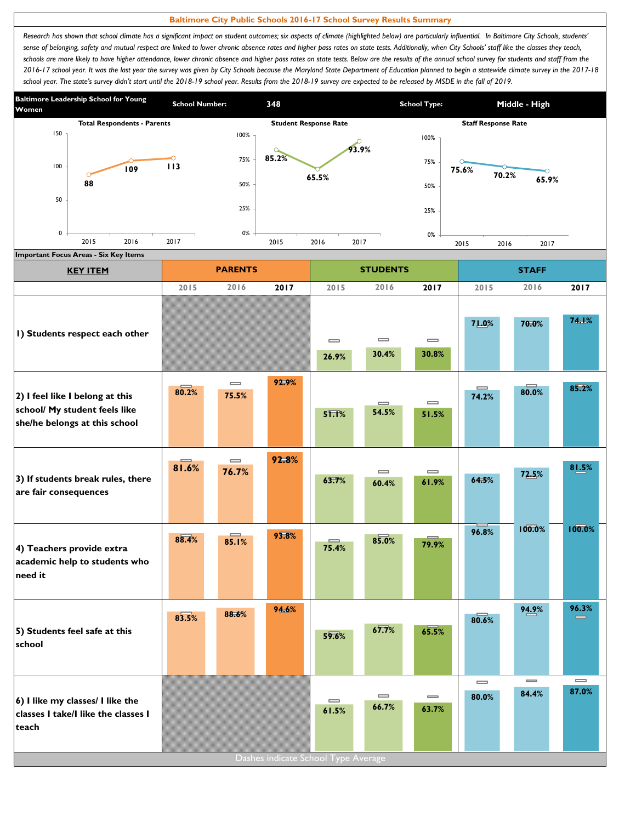## **Baltimore City Public Schools 2016-17 School Survey Results Summary**

Research has shown that school climate has a significant impact on student outcomes; six aspects of climate (highlighted below) are particularly influential. In Baltimore City Schools, students' sense of belonging, safety and mutual respect are linked to lower chronic absence rates and higher pass rates on state tests. Additionally, when City Schools' staff like the classes they teach, schools are more likely to have higher attendance, lower chronic absence and higher pass rates on state tests. Below are the results of the annual school survey for students and staff from the *2016-17 school year. It was the last year the survey was given by City Schools because the Maryland State Department of Education planned to begin a statewide climate survey in the 2017-18*  school year. The state's survey didn't start until the 2018-19 school year. Results from the 2018-19 survey are expected to be released by MSDE in the fall of 2019.



| <b>Important Focus Areas - Six Key Items</b><br><b>KEY ITEM</b>                                   |       | <b>PARENTS</b>                        |       |                                          | <b>STUDENTS</b>   |                                       | <b>STAFF</b>                          |                                       |                            |  |
|---------------------------------------------------------------------------------------------------|-------|---------------------------------------|-------|------------------------------------------|-------------------|---------------------------------------|---------------------------------------|---------------------------------------|----------------------------|--|
|                                                                                                   | 2015  | 2016                                  | 2017  | 2015                                     | 2016              | 2017                                  | 2015                                  | 2016                                  | 2017                       |  |
| I) Students respect each other                                                                    |       |                                       |       | $\equiv$<br>26.9%                        | $\equiv$<br>30.4% | $\qquad \qquad \blacksquare$<br>30.8% | 71.0%                                 | 70.0%                                 | 74.1%                      |  |
| 2) I feel like I belong at this<br>school/ My student feels like<br>she/he belongs at this school | 80.2% | $\qquad \qquad \blacksquare$<br>75.5% | 92.9% | $5\overline{1.1\%}$                      | $\equiv$<br>54.5% | $\qquad \qquad \blacksquare$<br>51.5% | $\qquad \qquad \blacksquare$<br>74.2% | 80.0%                                 | 85.2%                      |  |
| 3) If students break rules, there<br>are fair consequences                                        | 81.6% | $\qquad \qquad \blacksquare$<br>76.7% | 92.8% | 63.7%                                    | $\equiv$<br>60.4% | $\qquad \qquad \blacksquare$<br>61.9% | 64.5%                                 | 72.5%                                 | 81.5%                      |  |
| 4) Teachers provide extra<br>academic help to students who<br>need it                             | 88.4% | —<br>85.1%                            | 93.8% | 75.4%                                    | 85.0%             | 79.9%                                 | 96.8%                                 | 100.0%                                | 100.0%                     |  |
| 5) Students feel safe at this<br>school                                                           | 83.5% | 88.6%                                 | 94.6% | 59.6%                                    | 67.7%             | 65.5%                                 | 80.6%                                 | 94.9%                                 | 96.3%<br>$\equiv$          |  |
| 6) I like my classes/ I like the<br>classes I take/I like the classes I<br>teach                  |       |                                       |       | $\qquad \qquad = \qquad \qquad$<br>61.5% | $\equiv$<br>66.7% | $\qquad \qquad \blacksquare$<br>63.7% | $\overline{\phantom{0}}$<br>80.0%     | $\qquad \qquad \blacksquare$<br>84.4% | $\qquad \qquad =$<br>87.0% |  |